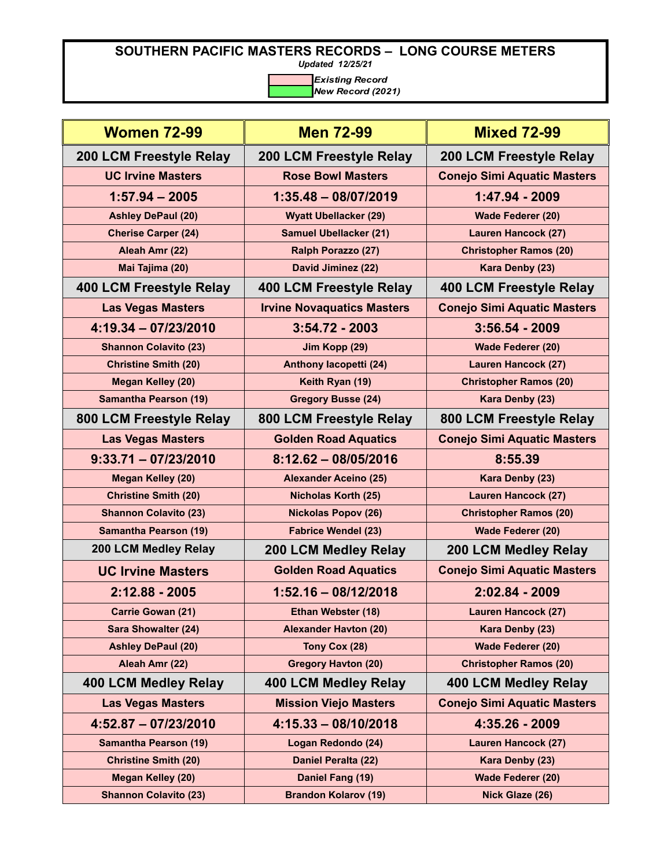*Updated 12/25/21*

| <b>Women 72-99</b>             | <b>Men 72-99</b>                  | <b>Mixed 72-99</b>                 |
|--------------------------------|-----------------------------------|------------------------------------|
| 200 LCM Freestyle Relay        | <b>200 LCM Freestyle Relay</b>    | 200 LCM Freestyle Relay            |
| <b>UC Irvine Masters</b>       | <b>Rose Bowl Masters</b>          | <b>Conejo Simi Aquatic Masters</b> |
| $1:57.94 - 2005$               | $1:35.48 - 08/07/2019$            | 1:47.94 - 2009                     |
| <b>Ashley DePaul (20)</b>      | <b>Wyatt Ubellacker (29)</b>      | <b>Wade Federer (20)</b>           |
| <b>Cherise Carper (24)</b>     | <b>Samuel Ubellacker (21)</b>     | <b>Lauren Hancock (27)</b>         |
| Aleah Amr (22)                 | Ralph Porazzo (27)                | <b>Christopher Ramos (20)</b>      |
| Mai Tajima (20)                | David Jiminez (22)                | Kara Denby (23)                    |
| <b>400 LCM Freestyle Relay</b> | 400 LCM Freestyle Relay           | 400 LCM Freestyle Relay            |
| <b>Las Vegas Masters</b>       | <b>Irvine Novaquatics Masters</b> | <b>Conejo Simi Aquatic Masters</b> |
| $4:19.34 - 07/23/2010$         | $3:54.72 - 2003$                  | $3:56.54 - 2009$                   |
| <b>Shannon Colavito (23)</b>   | Jim Kopp (29)                     | <b>Wade Federer (20)</b>           |
| <b>Christine Smith (20)</b>    | Anthony lacopetti (24)            | <b>Lauren Hancock (27)</b>         |
| <b>Megan Kelley (20)</b>       | Keith Ryan (19)                   | <b>Christopher Ramos (20)</b>      |
| <b>Samantha Pearson (19)</b>   | <b>Gregory Busse (24)</b>         | Kara Denby (23)                    |
| 800 LCM Freestyle Relay        | 800 LCM Freestyle Relay           | 800 LCM Freestyle Relay            |
| <b>Las Vegas Masters</b>       | <b>Golden Road Aquatics</b>       | <b>Conejo Simi Aquatic Masters</b> |
| $9:33.71 - 07/23/2010$         | $8:12.62 - 08/05/2016$            | 8:55.39                            |
| <b>Megan Kelley (20)</b>       | <b>Alexander Aceino (25)</b>      | Kara Denby (23)                    |
| <b>Christine Smith (20)</b>    | <b>Nicholas Korth (25)</b>        | <b>Lauren Hancock (27)</b>         |
| <b>Shannon Colavito (23)</b>   | <b>Nickolas Popov (26)</b>        | <b>Christopher Ramos (20)</b>      |
| <b>Samantha Pearson (19)</b>   | <b>Fabrice Wendel (23)</b>        | <b>Wade Federer (20)</b>           |
| 200 LCM Medley Relay           | 200 LCM Medley Relay              | 200 LCM Medley Relay               |
| <b>UC Irvine Masters</b>       | <b>Golden Road Aquatics</b>       | <b>Conejo Simi Aquatic Masters</b> |
| 2:12.88 - 2005                 | $1:52.16 - 08/12/2018$            | 2:02.84 - 2009                     |
| <b>Carrie Gowan (21)</b>       | Ethan Webster (18)                | <b>Lauren Hancock (27)</b>         |
| <b>Sara Showalter (24)</b>     | <b>Alexander Havton (20)</b>      | Kara Denby (23)                    |
| <b>Ashley DePaul (20)</b>      | Tony Cox (28)                     | <b>Wade Federer (20)</b>           |
| Aleah Amr (22)                 | <b>Gregory Havton (20)</b>        | <b>Christopher Ramos (20)</b>      |
| <b>400 LCM Medley Relay</b>    | 400 LCM Medley Relay              | 400 LCM Medley Relay               |
| <b>Las Vegas Masters</b>       | <b>Mission Viejo Masters</b>      | <b>Conejo Simi Aquatic Masters</b> |
| $4:52.87 - 07/23/2010$         | $4:15.33 - 08/10/2018$            | 4:35.26 - 2009                     |
| <b>Samantha Pearson (19)</b>   | Logan Redondo (24)                | Lauren Hancock (27)                |
| <b>Christine Smith (20)</b>    | Daniel Peralta (22)               | Kara Denby (23)                    |
| <b>Megan Kelley (20)</b>       | Daniel Fang (19)                  | <b>Wade Federer (20)</b>           |
| <b>Shannon Colavito (23)</b>   | <b>Brandon Kolarov (19)</b>       | Nick Glaze (26)                    |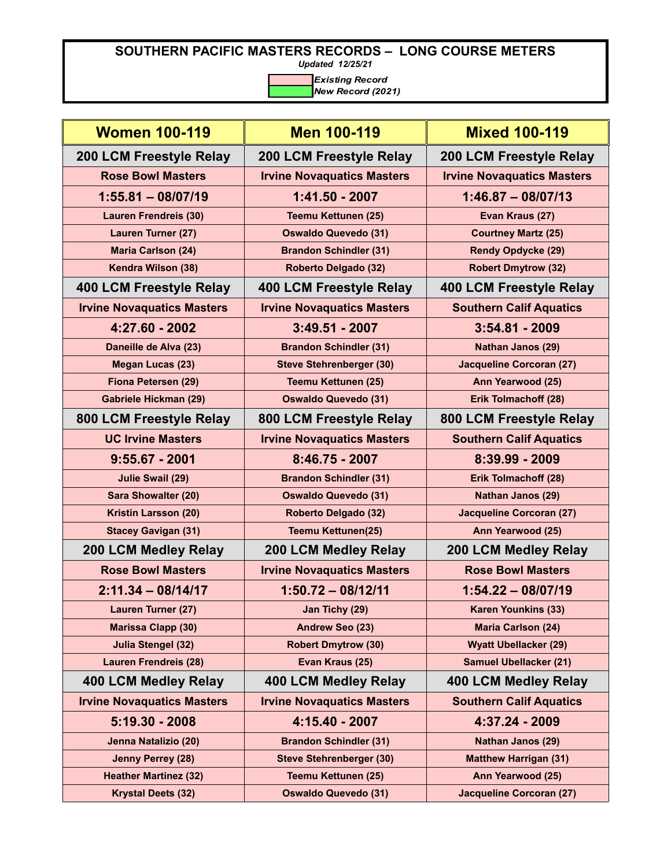*Updated 12/25/21*

| <b>Women 100-119</b>              | <b>Men 100-119</b>                | <b>Mixed 100-119</b>              |
|-----------------------------------|-----------------------------------|-----------------------------------|
| 200 LCM Freestyle Relay           | 200 LCM Freestyle Relay           | 200 LCM Freestyle Relay           |
| <b>Rose Bowl Masters</b>          | <b>Irvine Novaquatics Masters</b> | <b>Irvine Novaquatics Masters</b> |
| $1:55.81 - 08/07/19$              | 1:41.50 - 2007                    | $1:46.87 - 08/07/13$              |
| <b>Lauren Frendreis (30)</b>      | <b>Teemu Kettunen (25)</b>        | Evan Kraus (27)                   |
| Lauren Turner (27)                | <b>Oswaldo Quevedo (31)</b>       | <b>Courtney Martz (25)</b>        |
| <b>Maria Carlson (24)</b>         | <b>Brandon Schindler (31)</b>     | <b>Rendy Opdycke (29)</b>         |
| Kendra Wilson (38)                | Roberto Delgado (32)              | <b>Robert Dmytrow (32)</b>        |
| <b>400 LCM Freestyle Relay</b>    | 400 LCM Freestyle Relay           | 400 LCM Freestyle Relay           |
| <b>Irvine Novaquatics Masters</b> | <b>Irvine Novaquatics Masters</b> | <b>Southern Calif Aquatics</b>    |
| 4:27.60 - 2002                    | $3:49.51 - 2007$                  | $3:54.81 - 2009$                  |
| Daneille de Alva (23)             | <b>Brandon Schindler (31)</b>     | Nathan Janos (29)                 |
| <b>Megan Lucas (23)</b>           | <b>Steve Stehrenberger (30)</b>   | <b>Jacqueline Corcoran (27)</b>   |
| Fiona Petersen (29)               | <b>Teemu Kettunen (25)</b>        | Ann Yearwood (25)                 |
| <b>Gabriele Hickman (29)</b>      | <b>Oswaldo Quevedo (31)</b>       | Erik Tolmachoff (28)              |
| 800 LCM Freestyle Relay           | 800 LCM Freestyle Relay           | 800 LCM Freestyle Relay           |
| <b>UC Irvine Masters</b>          | <b>Irvine Novaquatics Masters</b> | <b>Southern Calif Aquatics</b>    |
| $9:55.67 - 2001$                  | 8:46.75 - 2007                    | 8:39.99 - 2009                    |
| <b>Julie Swail (29)</b>           | <b>Brandon Schindler (31)</b>     | Erik Tolmachoff (28)              |
| <b>Sara Showalter (20)</b>        | <b>Oswaldo Quevedo (31)</b>       | <b>Nathan Janos (29)</b>          |
| Kristin Larsson (20)              | Roberto Delgado (32)              | <b>Jacqueline Corcoran (27)</b>   |
| <b>Stacey Gavigan (31)</b>        | <b>Teemu Kettunen(25)</b>         | Ann Yearwood (25)                 |
| <b>200 LCM Medley Relay</b>       | 200 LCM Medley Relay              | 200 LCM Medley Relay              |
| <b>Rose Bowl Masters</b>          | <b>Irvine Novaquatics Masters</b> | <b>Rose Bowl Masters</b>          |
| $2:11.34 - 08/14/17$              | $1:50.72 - 08/12/11$              | $1:54.22 - 08/07/19$              |
| <b>Lauren Turner (27)</b>         | Jan Tichy (29)                    | <b>Karen Younkins (33)</b>        |
| <b>Marissa Clapp (30)</b>         | Andrew Seo (23)                   | <b>Maria Carlson (24)</b>         |
| <b>Julia Stengel (32)</b>         | <b>Robert Dmytrow (30)</b>        | <b>Wyatt Ubellacker (29)</b>      |
| <b>Lauren Frendreis (28)</b>      | Evan Kraus (25)                   | <b>Samuel Ubellacker (21)</b>     |
| <b>400 LCM Medley Relay</b>       | <b>400 LCM Medley Relay</b>       | <b>400 LCM Medley Relay</b>       |
| <b>Irvine Novaquatics Masters</b> | <b>Irvine Novaquatics Masters</b> | <b>Southern Calif Aquatics</b>    |
| $5:19.30 - 2008$                  | 4:15.40 - 2007                    | 4:37.24 - 2009                    |
| Jenna Natalizio (20)              | <b>Brandon Schindler (31)</b>     | <b>Nathan Janos (29)</b>          |
| Jenny Perrey (28)                 | <b>Steve Stehrenberger (30)</b>   | <b>Matthew Harrigan (31)</b>      |
| <b>Heather Martinez (32)</b>      | <b>Teemu Kettunen (25)</b>        | Ann Yearwood (25)                 |
| <b>Krystal Deets (32)</b>         | <b>Oswaldo Quevedo (31)</b>       | <b>Jacqueline Corcoran (27)</b>   |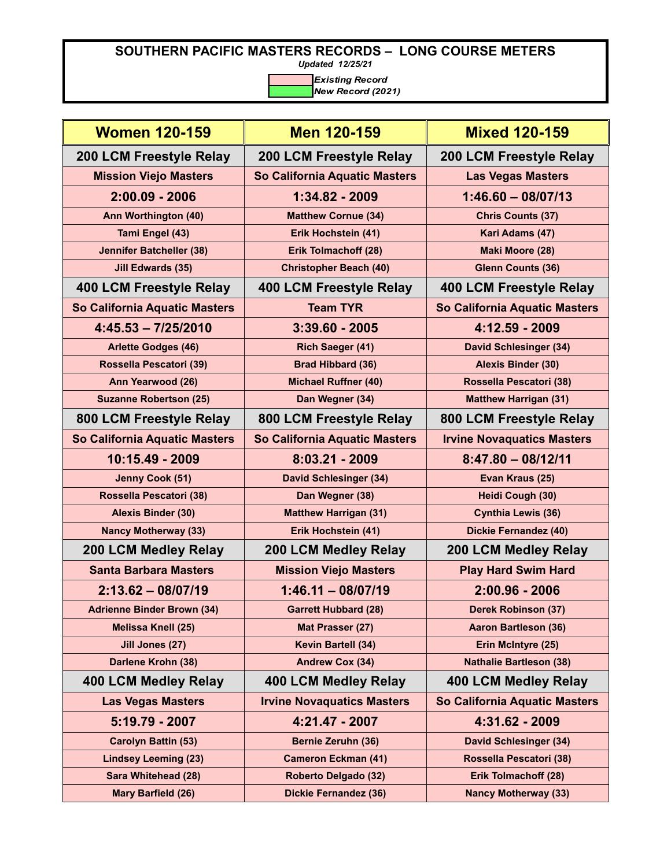*Updated 12/25/21*

| <b>Women 120-159</b>              | <b>Men 120-159</b>                | <b>Mixed 120-159</b>              |
|-----------------------------------|-----------------------------------|-----------------------------------|
| 200 LCM Freestyle Relay           | <b>200 LCM Freestyle Relay</b>    | 200 LCM Freestyle Relay           |
| <b>Mission Viejo Masters</b>      | So California Aquatic Masters     | <b>Las Vegas Masters</b>          |
| $2:00.09 - 2006$                  | 1:34.82 - 2009                    | $1:46.60 - 08/07/13$              |
| Ann Worthington (40)              | <b>Matthew Cornue (34)</b>        | <b>Chris Counts (37)</b>          |
| Tami Engel (43)                   | Erik Hochstein (41)               | Kari Adams (47)                   |
| <b>Jennifer Batcheller (38)</b>   | Erik Tolmachoff (28)              | Maki Moore (28)                   |
| <b>Jill Edwards (35)</b>          | <b>Christopher Beach (40)</b>     | <b>Glenn Counts (36)</b>          |
| 400 LCM Freestyle Relay           | 400 LCM Freestyle Relay           | 400 LCM Freestyle Relay           |
| So California Aquatic Masters     | <b>Team TYR</b>                   | So California Aquatic Masters     |
| $4:45.53 - 7/25/2010$             | $3:39.60 - 2005$                  | 4:12.59 - 2009                    |
| <b>Arlette Godges (46)</b>        | <b>Rich Saeger (41)</b>           | <b>David Schlesinger (34)</b>     |
| Rossella Pescatori (39)           | <b>Brad Hibbard (36)</b>          | <b>Alexis Binder (30)</b>         |
| Ann Yearwood (26)                 | <b>Michael Ruffner (40)</b>       | Rossella Pescatori (38)           |
| <b>Suzanne Robertson (25)</b>     | Dan Wegner (34)                   | <b>Matthew Harrigan (31)</b>      |
| 800 LCM Freestyle Relay           | 800 LCM Freestyle Relay           | 800 LCM Freestyle Relay           |
| So California Aquatic Masters     | So California Aquatic Masters     | <b>Irvine Novaquatics Masters</b> |
| 10:15.49 - 2009                   | 8:03.21 - 2009                    | $8:47.80 - 08/12/11$              |
| Jenny Cook (51)                   | <b>David Schlesinger (34)</b>     | Evan Kraus (25)                   |
| Rossella Pescatori (38)           | Dan Wegner (38)                   | Heidi Cough (30)                  |
| <b>Alexis Binder (30)</b>         | <b>Matthew Harrigan (31)</b>      | <b>Cynthia Lewis (36)</b>         |
| <b>Nancy Motherway (33)</b>       | Erik Hochstein (41)               | <b>Dickie Fernandez (40)</b>      |
| <b>200 LCM Medley Relay</b>       | <b>200 LCM Medley Relay</b>       | <b>200 LCM Medley Relay</b>       |
| <b>Santa Barbara Masters</b>      | <b>Mission Viejo Masters</b>      | <b>Play Hard Swim Hard</b>        |
| $2:13.62 - 08/07/19$              | $1:46.11 - 08/07/19$              | $2:00.96 - 2006$                  |
| <b>Adrienne Binder Brown (34)</b> | <b>Garrett Hubbard (28)</b>       | <b>Derek Robinson (37)</b>        |
| <b>Melissa Knell (25)</b>         | Mat Prasser (27)                  | <b>Aaron Bartleson (36)</b>       |
| Jill Jones (27)                   | Kevin Bartell (34)                | Erin McIntyre (25)                |
| Darlene Krohn (38)                | <b>Andrew Cox (34)</b>            | <b>Nathalie Bartleson (38)</b>    |
| <b>400 LCM Medley Relay</b>       | <b>400 LCM Medley Relay</b>       | 400 LCM Medley Relay              |
| <b>Las Vegas Masters</b>          | <b>Irvine Novaquatics Masters</b> | So California Aquatic Masters     |
| 5:19.79 - 2007                    | 4:21.47 - 2007                    | 4:31.62 - 2009                    |
| <b>Carolyn Battin (53)</b>        | <b>Bernie Zeruhn (36)</b>         | <b>David Schlesinger (34)</b>     |
| <b>Lindsey Leeming (23)</b>       | <b>Cameron Eckman (41)</b>        | Rossella Pescatori (38)           |
| Sara Whitehead (28)               | Roberto Delgado (32)              | <b>Erik Tolmachoff (28)</b>       |
| Mary Barfield (26)                | <b>Dickie Fernandez (36)</b>      | <b>Nancy Motherway (33)</b>       |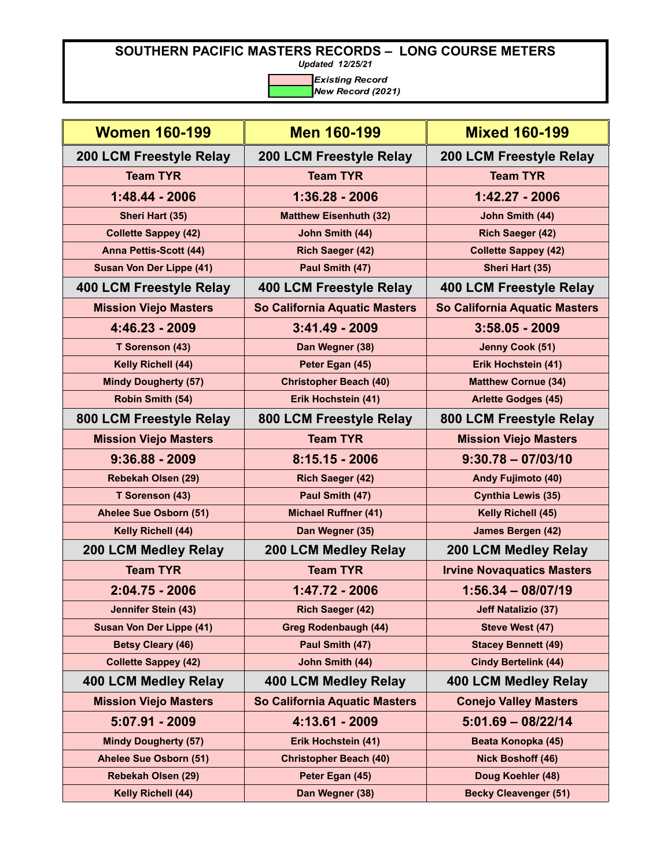*Updated 12/25/21*

| <b>Women 160-199</b>            | <b>Men 160-199</b>            | <b>Mixed 160-199</b>              |
|---------------------------------|-------------------------------|-----------------------------------|
| 200 LCM Freestyle Relay         | 200 LCM Freestyle Relay       | 200 LCM Freestyle Relay           |
| <b>Team TYR</b>                 | <b>Team TYR</b>               | <b>Team TYR</b>                   |
| $1:48.44 - 2006$                | 1:36.28 - 2006                | $1:42.27 - 2006$                  |
| Sheri Hart (35)                 | <b>Matthew Eisenhuth (32)</b> | John Smith (44)                   |
| <b>Collette Sappey (42)</b>     | John Smith (44)               | Rich Saeger (42)                  |
| <b>Anna Pettis-Scott (44)</b>   | <b>Rich Saeger (42)</b>       | <b>Collette Sappey (42)</b>       |
| <b>Susan Von Der Lippe (41)</b> | Paul Smith (47)               | Sheri Hart (35)                   |
| 400 LCM Freestyle Relay         | 400 LCM Freestyle Relay       | 400 LCM Freestyle Relay           |
| <b>Mission Viejo Masters</b>    | So California Aquatic Masters | So California Aquatic Masters     |
| 4:46.23 - 2009                  | $3:41.49 - 2009$              | $3:58.05 - 2009$                  |
| T Sorenson (43)                 | Dan Wegner (38)               | Jenny Cook (51)                   |
| Kelly Richell (44)              | Peter Egan (45)               | Erik Hochstein (41)               |
| <b>Mindy Dougherty (57)</b>     | <b>Christopher Beach (40)</b> | <b>Matthew Cornue (34)</b>        |
| Robin Smith (54)                | Erik Hochstein (41)           | <b>Arlette Godges (45)</b>        |
| 800 LCM Freestyle Relay         | 800 LCM Freestyle Relay       | 800 LCM Freestyle Relay           |
| <b>Mission Viejo Masters</b>    | <b>Team TYR</b>               | <b>Mission Viejo Masters</b>      |
| $9:36.88 - 2009$                | $8:15.15 - 2006$              | $9:30.78 - 07/03/10$              |
| Rebekah Olsen (29)              | <b>Rich Saeger (42)</b>       | <b>Andy Fujimoto (40)</b>         |
| T Sorenson (43)                 | Paul Smith (47)               | <b>Cynthia Lewis (35)</b>         |
| Ahelee Sue Osborn (51)          | <b>Michael Ruffner (41)</b>   | Kelly Richell (45)                |
| Kelly Richell (44)              | Dan Wegner (35)               | <b>James Bergen (42)</b>          |
| <b>200 LCM Medley Relay</b>     | <b>200 LCM Medley Relay</b>   | 200 LCM Medley Relay              |
| <b>Team TYR</b>                 | <b>Team TYR</b>               | <b>Irvine Novaquatics Masters</b> |
| $2:04.75 - 2006$                | $1:47.72 - 2006$              | $1:56.34 - 08/07/19$              |
| Jennifer Stein (43)             | <b>Rich Saeger (42)</b>       | <b>Jeff Natalizio (37)</b>        |
| Susan Von Der Lippe (41)        | <b>Greg Rodenbaugh (44)</b>   | Steve West (47)                   |
| <b>Betsy Cleary (46)</b>        | Paul Smith (47)               | <b>Stacey Bennett (49)</b>        |
| <b>Collette Sappey (42)</b>     | John Smith (44)               | <b>Cindy Bertelink (44)</b>       |
| <b>400 LCM Medley Relay</b>     | <b>400 LCM Medley Relay</b>   | 400 LCM Medley Relay              |
| <b>Mission Viejo Masters</b>    | So California Aquatic Masters | <b>Conejo Valley Masters</b>      |
| 5:07.91 - 2009                  | 4:13.61 - 2009                | $5:01.69 - 08/22/14$              |
| <b>Mindy Dougherty (57)</b>     | Erik Hochstein (41)           | Beata Konopka (45)                |
| Ahelee Sue Osborn (51)          | <b>Christopher Beach (40)</b> | <b>Nick Boshoff (46)</b>          |
| Rebekah Olsen (29)              | Peter Egan (45)               | Doug Koehler (48)                 |
| Kelly Richell (44)              | Dan Wegner (38)               | <b>Becky Cleavenger (51)</b>      |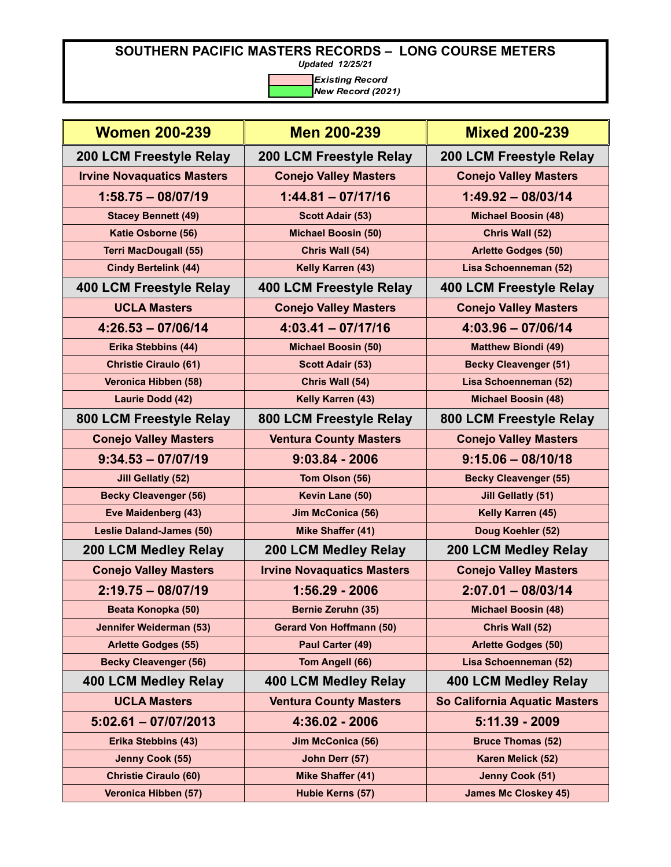*Updated 12/25/21*

| <b>Women 200-239</b>              | <b>Men 200-239</b>                | <b>Mixed 200-239</b>          |
|-----------------------------------|-----------------------------------|-------------------------------|
| 200 LCM Freestyle Relay           | 200 LCM Freestyle Relay           | 200 LCM Freestyle Relay       |
| <b>Irvine Novaquatics Masters</b> | <b>Conejo Valley Masters</b>      | <b>Conejo Valley Masters</b>  |
| $1:58.75 - 08/07/19$              | $1:44.81 - 07/17/16$              | $1:49.92 - 08/03/14$          |
| <b>Stacey Bennett (49)</b>        | <b>Scott Adair (53)</b>           | <b>Michael Boosin (48)</b>    |
| Katie Osborne (56)                | <b>Michael Boosin (50)</b>        | Chris Wall (52)               |
| <b>Terri MacDougall (55)</b>      | Chris Wall (54)                   | <b>Arlette Godges (50)</b>    |
| <b>Cindy Bertelink (44)</b>       | Kelly Karren (43)                 | Lisa Schoenneman (52)         |
| <b>400 LCM Freestyle Relay</b>    | 400 LCM Freestyle Relay           | 400 LCM Freestyle Relay       |
| <b>UCLA Masters</b>               | <b>Conejo Valley Masters</b>      | <b>Conejo Valley Masters</b>  |
| $4:26.53 - 07/06/14$              | $4:03.41 - 07/17/16$              | $4:03.96 - 07/06/14$          |
| Erika Stebbins (44)               | <b>Michael Boosin (50)</b>        | <b>Matthew Biondi (49)</b>    |
| <b>Christie Ciraulo (61)</b>      | <b>Scott Adair (53)</b>           | <b>Becky Cleavenger (51)</b>  |
| Veronica Hibben (58)              | Chris Wall (54)                   | Lisa Schoenneman (52)         |
| Laurie Dodd (42)                  | Kelly Karren (43)                 | <b>Michael Boosin (48)</b>    |
| 800 LCM Freestyle Relay           | 800 LCM Freestyle Relay           | 800 LCM Freestyle Relay       |
| <b>Conejo Valley Masters</b>      | <b>Ventura County Masters</b>     | <b>Conejo Valley Masters</b>  |
| $9:34.53 - 07/07/19$              | $9:03.84 - 2006$                  | $9:15.06 - 08/10/18$          |
| <b>Jill Gellatly (52)</b>         | Tom Olson (56)                    | <b>Becky Cleavenger (55)</b>  |
| <b>Becky Cleavenger (56)</b>      | Kevin Lane (50)                   | <b>Jill Gellatly (51)</b>     |
| Eve Maidenberg (43)               | Jim McConica (56)                 | Kelly Karren (45)             |
| <b>Leslie Daland-James (50)</b>   | Mike Shaffer (41)                 | Doug Koehler (52)             |
| 200 LCM Medley Relay              | 200 LCM Medley Relay              | 200 LCM Medley Relay          |
| <b>Conejo Valley Masters</b>      | <b>Irvine Novaquatics Masters</b> | <b>Conejo Valley Masters</b>  |
| $2:19.75 - 08/07/19$              | $1:56.29 - 2006$                  | $2:07.01 - 08/03/14$          |
| Beata Konopka (50)                | Bernie Zeruhn (35)                | <b>Michael Boosin (48)</b>    |
| Jennifer Weiderman (53)           | <b>Gerard Von Hoffmann (50)</b>   | Chris Wall (52)               |
| <b>Arlette Godges (55)</b>        | Paul Carter (49)                  | <b>Arlette Godges (50)</b>    |
| <b>Becky Cleavenger (56)</b>      | Tom Angell (66)                   | Lisa Schoenneman (52)         |
| <b>400 LCM Medley Relay</b>       | <b>400 LCM Medley Relay</b>       | <b>400 LCM Medley Relay</b>   |
| <b>UCLA Masters</b>               | <b>Ventura County Masters</b>     | So California Aquatic Masters |
| $5:02.61 - 07/07/2013$            | 4:36.02 - 2006                    | $5:11.39 - 2009$              |
| Erika Stebbins (43)               | Jim McConica (56)                 | <b>Bruce Thomas (52)</b>      |
| Jenny Cook (55)                   | John Derr (57)                    | Karen Melick (52)             |
| <b>Christie Ciraulo (60)</b>      | <b>Mike Shaffer (41)</b>          | Jenny Cook (51)               |
| Veronica Hibben (57)              | Hubie Kerns (57)                  | <b>James Mc Closkey 45)</b>   |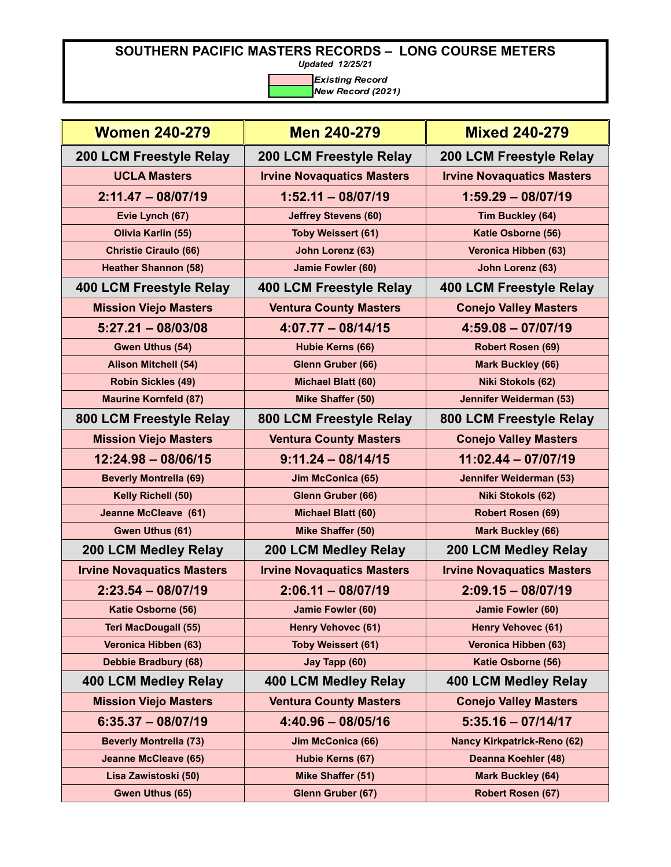*Updated 12/25/21*

| <b>Women 240-279</b>              | <b>Men 240-279</b>                | <b>Mixed 240-279</b>               |
|-----------------------------------|-----------------------------------|------------------------------------|
| 200 LCM Freestyle Relay           | 200 LCM Freestyle Relay           | <b>200 LCM Freestyle Relay</b>     |
| <b>UCLA Masters</b>               | <b>Irvine Novaquatics Masters</b> | <b>Irvine Novaquatics Masters</b>  |
| $2:11.47 - 08/07/19$              | $1:52.11 - 08/07/19$              | $1:59.29 - 08/07/19$               |
| Evie Lynch (67)                   | <b>Jeffrey Stevens (60)</b>       | Tim Buckley (64)                   |
| Olivia Karlin (55)                | <b>Toby Weissert (61)</b>         | Katie Osborne (56)                 |
| <b>Christie Ciraulo (66)</b>      | John Lorenz (63)                  | Veronica Hibben (63)               |
| <b>Heather Shannon (58)</b>       | Jamie Fowler (60)                 | John Lorenz (63)                   |
| 400 LCM Freestyle Relay           | 400 LCM Freestyle Relay           | <b>400 LCM Freestyle Relay</b>     |
| <b>Mission Viejo Masters</b>      | <b>Ventura County Masters</b>     | <b>Conejo Valley Masters</b>       |
| $5:27.21 - 08/03/08$              | $4:07.77 - 08/14/15$              | $4:59.08 - 07/07/19$               |
| Gwen Uthus (54)                   | Hubie Kerns (66)                  | Robert Rosen (69)                  |
| <b>Alison Mitchell (54)</b>       | Glenn Gruber (66)                 | <b>Mark Buckley (66)</b>           |
| <b>Robin Sickles (49)</b>         | <b>Michael Blatt (60)</b>         | Niki Stokols (62)                  |
| <b>Maurine Kornfeld (87)</b>      | Mike Shaffer (50)                 | Jennifer Weiderman (53)            |
| 800 LCM Freestyle Relay           | 800 LCM Freestyle Relay           | 800 LCM Freestyle Relay            |
| <b>Mission Viejo Masters</b>      | <b>Ventura County Masters</b>     | <b>Conejo Valley Masters</b>       |
| $12:24.98 - 08/06/15$             | $9:11.24 - 08/14/15$              | $11:02.44 - 07/07/19$              |
| <b>Beverly Montrella (69)</b>     | Jim McConica (65)                 | Jennifer Weiderman (53)            |
| Kelly Richell (50)                | Glenn Gruber (66)                 | Niki Stokols (62)                  |
| <b>Jeanne McCleave (61)</b>       | Michael Blatt (60)                | <b>Robert Rosen (69)</b>           |
| Gwen Uthus (61)                   | Mike Shaffer (50)                 | <b>Mark Buckley (66)</b>           |
| <b>200 LCM Medley Relay</b>       | <b>200 LCM Medley Relay</b>       | <b>200 LCM Medley Relay</b>        |
| <b>Irvine Novaquatics Masters</b> | <b>Irvine Novaquatics Masters</b> | <b>Irvine Novaquatics Masters</b>  |
| $2:23.54 - 08/07/19$              | $2:06.11 - 08/07/19$              | $2:09.15 - 08/07/19$               |
| Katie Osborne (56)                | Jamie Fowler (60)                 | Jamie Fowler (60)                  |
| <b>Teri MacDougall (55)</b>       | <b>Henry Vehovec (61)</b>         | <b>Henry Vehovec (61)</b>          |
| Veronica Hibben (63)              | <b>Toby Weissert (61)</b>         | Veronica Hibben (63)               |
| Debbie Bradbury (68)              | Jay Tapp (60)                     | Katie Osborne (56)                 |
| <b>400 LCM Medley Relay</b>       | <b>400 LCM Medley Relay</b>       | <b>400 LCM Medley Relay</b>        |
| <b>Mission Viejo Masters</b>      | <b>Ventura County Masters</b>     | <b>Conejo Valley Masters</b>       |
| $6:35.37 - 08/07/19$              | $4:40.96 - 08/05/16$              | $5:35.16 - 07/14/17$               |
| <b>Beverly Montrella (73)</b>     | Jim McConica (66)                 | <b>Nancy Kirkpatrick-Reno (62)</b> |
| <b>Jeanne McCleave (65)</b>       | Hubie Kerns (67)                  | Deanna Koehler (48)                |
| Lisa Zawistoski (50)              | Mike Shaffer (51)                 | <b>Mark Buckley (64)</b>           |
| Gwen Uthus (65)                   | Glenn Gruber (67)                 | Robert Rosen (67)                  |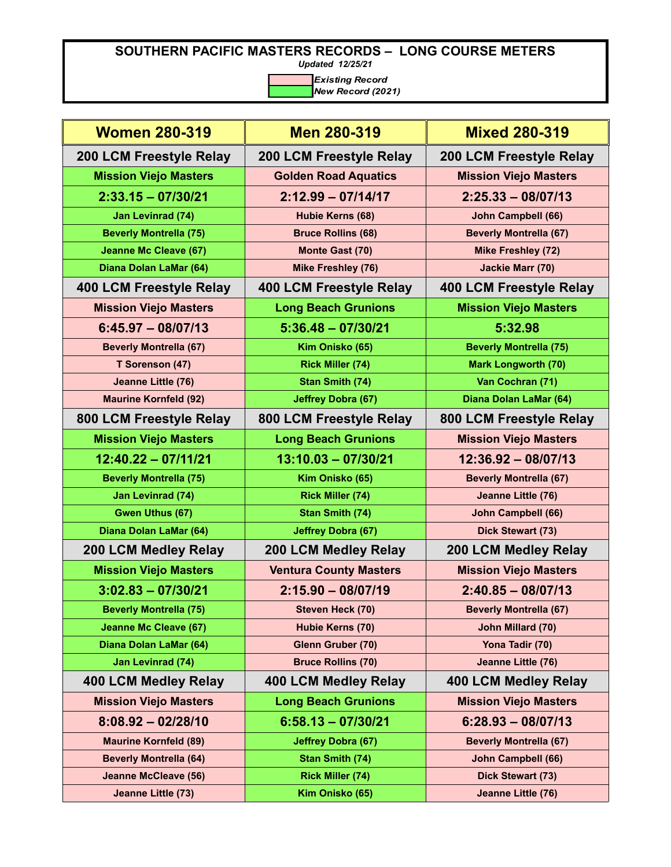*Updated 12/25/21*

| <b>Women 280-319</b>          | <b>Men 280-319</b>            | <b>Mixed 280-319</b>          |
|-------------------------------|-------------------------------|-------------------------------|
| 200 LCM Freestyle Relay       | 200 LCM Freestyle Relay       | 200 LCM Freestyle Relay       |
| <b>Mission Viejo Masters</b>  | <b>Golden Road Aquatics</b>   | <b>Mission Viejo Masters</b>  |
| $2:33.15 - 07/30/21$          | $2:12.99 - 07/14/17$          | $2:25.33 - 08/07/13$          |
| <b>Jan Levinrad (74)</b>      | Hubie Kerns (68)              | John Campbell (66)            |
| <b>Beverly Montrella (75)</b> | <b>Bruce Rollins (68)</b>     | <b>Beverly Montrella (67)</b> |
| <b>Jeanne Mc Cleave (67)</b>  | Monte Gast (70)               | <b>Mike Freshley (72)</b>     |
| Diana Dolan LaMar (64)        | <b>Mike Freshley (76)</b>     | <b>Jackie Marr (70)</b>       |
| 400 LCM Freestyle Relay       | 400 LCM Freestyle Relay       | 400 LCM Freestyle Relay       |
| <b>Mission Viejo Masters</b>  | <b>Long Beach Grunions</b>    | <b>Mission Viejo Masters</b>  |
| $6:45.97 - 08/07/13$          | $5:36.48 - 07/30/21$          | 5:32.98                       |
| <b>Beverly Montrella (67)</b> | Kim Onisko (65)               | <b>Beverly Montrella (75)</b> |
| T Sorenson (47)               | <b>Rick Miller (74)</b>       | <b>Mark Longworth (70)</b>    |
| Jeanne Little (76)            | Stan Smith (74)               | Van Cochran (71)              |
| <b>Maurine Kornfeld (92)</b>  | <b>Jeffrey Dobra (67)</b>     | Diana Dolan LaMar (64)        |
| 800 LCM Freestyle Relay       | 800 LCM Freestyle Relay       | 800 LCM Freestyle Relay       |
| <b>Mission Viejo Masters</b>  | <b>Long Beach Grunions</b>    | <b>Mission Viejo Masters</b>  |
| $12:40.22 - 07/11/21$         | $13:10.03 - 07/30/21$         | $12:36.92 - 08/07/13$         |
| <b>Beverly Montrella (75)</b> | Kim Onisko (65)               | <b>Beverly Montrella (67)</b> |
| Jan Levinrad (74)             | <b>Rick Miller (74)</b>       | Jeanne Little (76)            |
| <b>Gwen Uthus (67)</b>        | Stan Smith (74)               | <b>John Campbell (66)</b>     |
| Diana Dolan LaMar (64)        | <b>Jeffrey Dobra (67)</b>     | Dick Stewart (73)             |
| 200 LCM Medley Relay          | 200 LCM Medley Relay          | <b>200 LCM Medley Relay</b>   |
| <b>Mission Viejo Masters</b>  | <b>Ventura County Masters</b> | <b>Mission Viejo Masters</b>  |
| $3:02.83 - 07/30/21$          | $2:15.90 - 08/07/19$          | $2:40.85 - 08/07/13$          |
| <b>Beverly Montrella (75)</b> | Steven Heck (70)              | <b>Beverly Montrella (67)</b> |
| <b>Jeanne Mc Cleave (67)</b>  | Hubie Kerns (70)              | John Millard (70)             |
| Diana Dolan LaMar (64)        | Glenn Gruber (70)             | Yona Tadir (70)               |
| <b>Jan Levinrad (74)</b>      | <b>Bruce Rollins (70)</b>     | Jeanne Little (76)            |
| <b>400 LCM Medley Relay</b>   | <b>400 LCM Medley Relay</b>   | <b>400 LCM Medley Relay</b>   |
| <b>Mission Viejo Masters</b>  | <b>Long Beach Grunions</b>    | <b>Mission Viejo Masters</b>  |
| $8:08.92 - 02/28/10$          | $6:58.13 - 07/30/21$          | $6:28.93 - 08/07/13$          |
| <b>Maurine Kornfeld (89)</b>  | <b>Jeffrey Dobra (67)</b>     | <b>Beverly Montrella (67)</b> |
| <b>Beverly Montrella (64)</b> | <b>Stan Smith (74)</b>        | <b>John Campbell (66)</b>     |
| <b>Jeanne McCleave (56)</b>   | <b>Rick Miller (74)</b>       | Dick Stewart (73)             |
| Jeanne Little (73)            | Kim Onisko (65)               | Jeanne Little (76)            |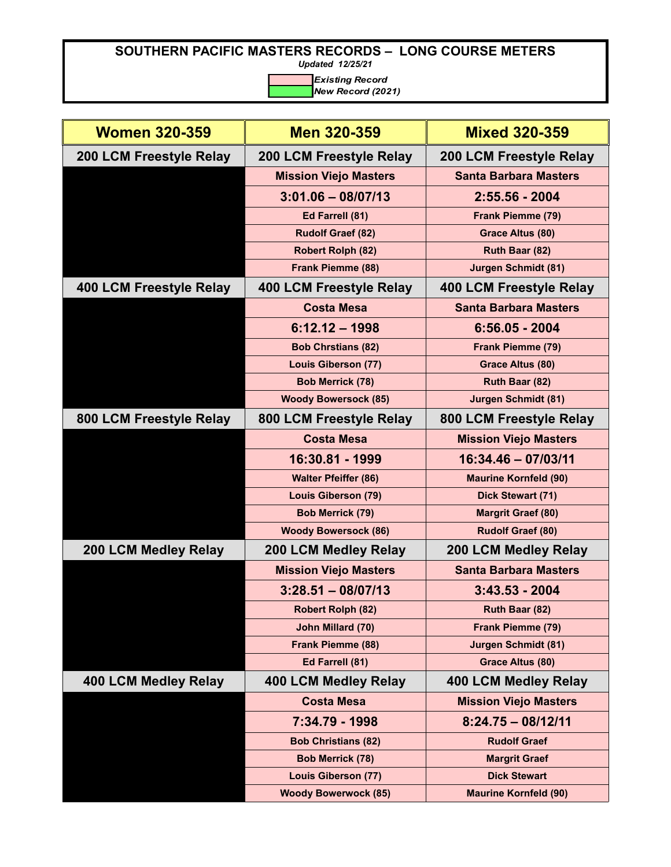*Updated 12/25/21*

| <b>Women 320-359</b>    | <b>Men 320-359</b>           | <b>Mixed 320-359</b>           |
|-------------------------|------------------------------|--------------------------------|
| 200 LCM Freestyle Relay | 200 LCM Freestyle Relay      | <b>200 LCM Freestyle Relay</b> |
|                         | <b>Mission Viejo Masters</b> | <b>Santa Barbara Masters</b>   |
|                         | $3:01.06 - 08/07/13$         | $2:55.56 - 2004$               |
|                         | Ed Farrell (81)              | Frank Piemme (79)              |
|                         | <b>Rudolf Graef (82)</b>     | Grace Altus (80)               |
|                         | <b>Robert Rolph (82)</b>     | Ruth Baar (82)                 |
|                         | Frank Piemme (88)            | <b>Jurgen Schmidt (81)</b>     |
| 400 LCM Freestyle Relay | 400 LCM Freestyle Relay      | 400 LCM Freestyle Relay        |
|                         | <b>Costa Mesa</b>            | <b>Santa Barbara Masters</b>   |
|                         | $6:12.12 - 1998$             | $6:56.05 - 2004$               |
|                         | <b>Bob Chrstians (82)</b>    | Frank Piemme (79)              |
|                         | <b>Louis Giberson (77)</b>   | <b>Grace Altus (80)</b>        |
|                         | <b>Bob Merrick (78)</b>      | Ruth Baar (82)                 |
|                         | <b>Woody Bowersock (85)</b>  | <b>Jurgen Schmidt (81)</b>     |
| 800 LCM Freestyle Relay | 800 LCM Freestyle Relay      | 800 LCM Freestyle Relay        |
|                         | <b>Costa Mesa</b>            | <b>Mission Viejo Masters</b>   |
|                         | 16:30.81 - 1999              | 16:34.46 - 07/03/11            |
|                         | <b>Walter Pfeiffer (86)</b>  | <b>Maurine Kornfeld (90)</b>   |
|                         | <b>Louis Giberson (79)</b>   | Dick Stewart (71)              |
|                         | <b>Bob Merrick (79)</b>      | <b>Margrit Graef (80)</b>      |
|                         | <b>Woody Bowersock (86)</b>  | Rudolf Graef (80)              |
| 200 LCM Medley Relay    | <b>200 LCM Medley Relay</b>  | <b>200 LCM Medley Relay</b>    |
|                         | <b>Mission Viejo Masters</b> | <b>Santa Barbara Masters</b>   |
|                         | $3:28.51 - 08/07/13$         | $3:43.53 - 2004$               |
|                         | <b>Robert Rolph (82)</b>     | Ruth Baar (82)                 |
|                         | John Millard (70)            | <b>Frank Piemme (79)</b>       |
|                         | Frank Piemme (88)            | <b>Jurgen Schmidt (81)</b>     |
|                         | Ed Farrell (81)              | <b>Grace Altus (80)</b>        |
| 400 LCM Medley Relay    | 400 LCM Medley Relay         | 400 LCM Medley Relay           |
|                         | <b>Costa Mesa</b>            | <b>Mission Viejo Masters</b>   |
|                         | 7:34.79 - 1998               | $8:24.75 - 08/12/11$           |
|                         | <b>Bob Christians (82)</b>   | <b>Rudolf Graef</b>            |
|                         | <b>Bob Merrick (78)</b>      | <b>Margrit Graef</b>           |
|                         | <b>Louis Giberson (77)</b>   | <b>Dick Stewart</b>            |
|                         | <b>Woody Bowerwock (85)</b>  | <b>Maurine Kornfeld (90)</b>   |